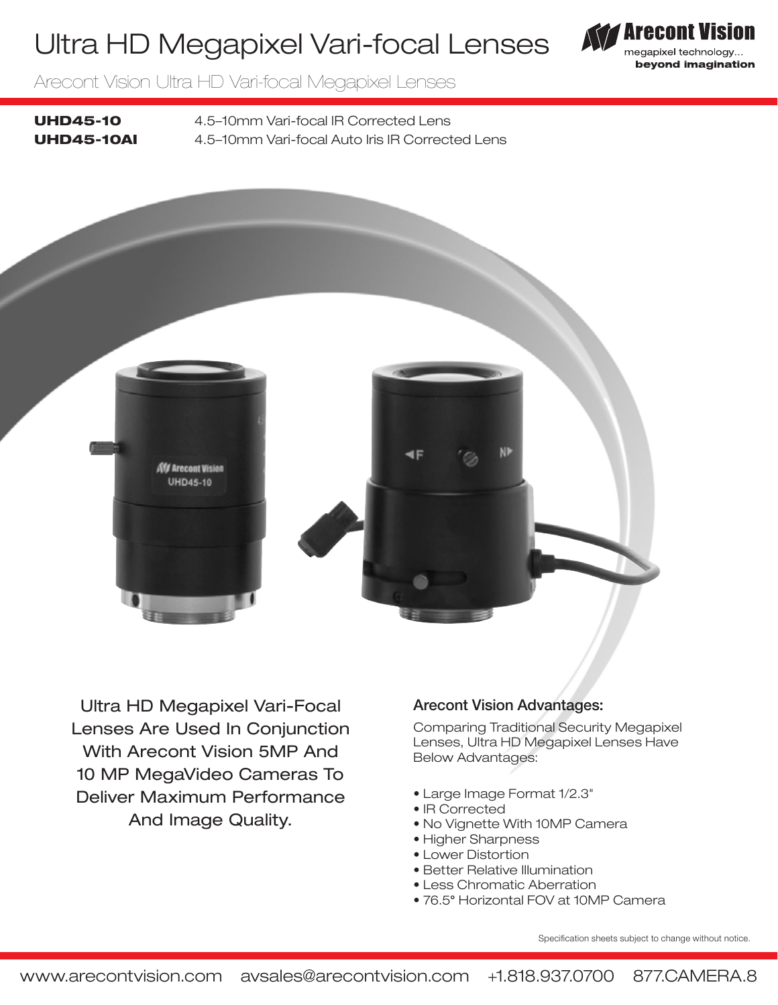## Ultra HD Megapixel Vari-focal Lenses



Arecont Vision Ultra HD Vari-focal Megapixel Lenses

UHD45-10 4.5–10mm Vari-focal IR Corrected Lens UHD45-10AI 4.5–10mm Vari-focal Auto Iris IR Corrected Lens



Ultra HD Megapixel Vari-Focal Lenses Are Used In Conjunction With Arecont Vision 5MP And 10 MP MegaVideo Cameras To Deliver Maximum Performance And Image Quality.

### Arecont Vision Advantages:

Comparing Traditional Security Megapixel Lenses, Ultra HD Megapixel Lenses Have Below Advantages:

- Large Image Format 1/2.3"
- IR Corrected
- No Vignette With 10MP Camera
- Higher Sharpness
- Lower Distortion
- Better Relative Illumination
- Less Chromatic Aberration
- 76.5° Horizontal FOV at 10MP Camera

Specification sheets subject to change without notice.